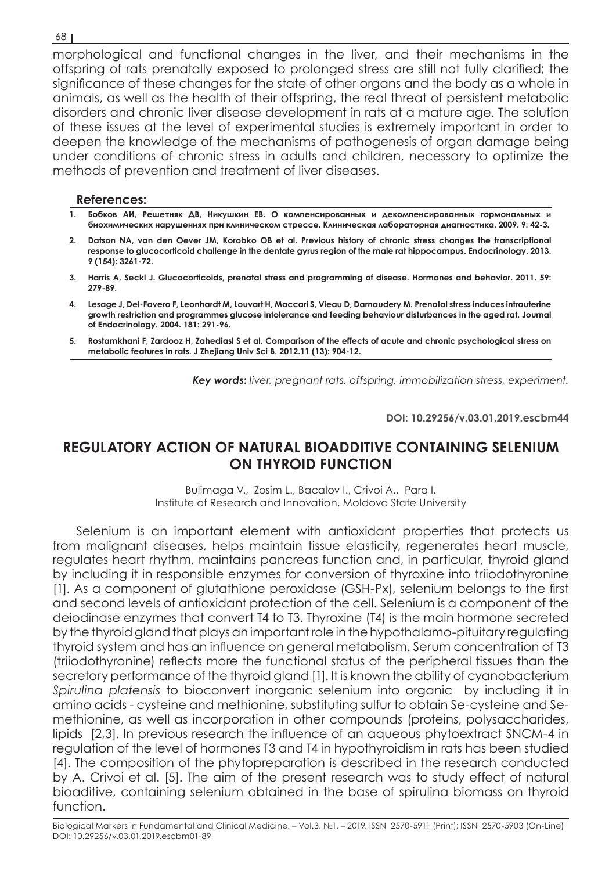morphological and functional changes in the liver, and their mechanisms in the offspring of rats prenatally exposed to prolonged stress are still not fully clarified; the significance of these changes for the state of other organs and the body as a whole in animals, as well as the health of their offspring, the real threat of persistent metabolic disorders and chronic liver disease development in rats at a mature age. The solution of these issues at the level of experimental studies is extremely important in order to deepen the knowledge of the mechanisms of pathogenesis of organ damage being under conditions of chronic stress in adults and children, necessary to optimize the methods of prevention and treatment of liver diseases.

### **References:**

- **1. Бобков АИ, Решетняк ДВ, Никушкин ЕВ. О компенсированных и декомпенсированных гормональных и биохимических нарушениях при клиническом стрессе. Клиническая лабораторная диагностика. 2009. 9: 42-3.**
- **2. Datson NA, van den Oever JM, Korobko OB et al. Previous history of chronic stress changes the transcriptional response to glucocorticoid challenge in the dentate gyrus region of the male rat hippocampus. Endocrinology. 2013. 9 (154): 3261-72.**
- **3. Harris A, Seckl J. Glucocorticoids, prenatal stress and programming of disease. Hormones and behavior. 2011. 59: 279-89.**
- **4. Lesage J, Del-Favero F, Leonhardt M, Louvart H, Maccari S, Vieau D, Darnaudery M. Prenatal stress induces intrauterine growth restriction and programmes glucose intolerance and feeding behaviour disturbances in the aged rat. Journal of Endocrinology. 2004. 181: 291-96.**
- **5. Rostamkhani F, Zardooz H, Zahediasl S et al. Comparison of the effects of acute and chronic psychological stress on metabolic features in rats. J Zhejiang Univ Sci B. 2012.11 (13): 904-12.**

*Key words***:** *liver, pregnant rats, offspring, immobilization stress, experiment.*

**DOI: 10.29256/v.03.01.2019.escbm44**

# **REGULATORY ACTION OF NATURAL BIOADDITIVE CONTAINING SELENIUM ON THYROID FUNCTION**

Bulimaga V., Zosim L., Bacalov I., Crivoi A., Para I. Institute of Research and Innovation, Moldova State University

Selenium is an important element with antioxidant properties that protects us from malignant diseases, helps maintain tissue elasticity, regenerates heart muscle, regulates heart rhythm, maintains pancreas function and, in particular, thyroid gland by including it in responsible enzymes for conversion of thyroxine into triiodothyronine [1]. As a component of glutathione peroxidase (GSH-Px), selenium belongs to the first and second levels of antioxidant protection of the cell. Selenium is a component of the deiodinase enzymes that convert T4 to T3. Thyroxine (T4) is the main hormone secreted by the thyroid gland that plays an important role in the hypothalamo-pituitary regulating thyroid system and has an influence on general metabolism. Serum concentration of T3 (triiodothyronine) reflects more the functional status of the peripheral tissues than the secretory performance of the thyroid gland [1]. It is known the ability of cyanobacterium *Spirulina platensis* to bioconvert inorganic selenium into organic by including it in amino acids - cysteine and methionine, substituting sulfur to obtain Se-cysteine and Semethionine, as well as incorporation in other compounds (proteins, polysaccharides, lipids [2,3]. In previous research the influence of an aqueous phytoextract SNCM-4 in regulation of the level of hormones T3 and T4 in hypothyroidism in rats has been studied [4]. The composition of the phytopreparation is described in the research conducted by A. Crivoi et al. [5]. The aim of the present research was to study effect of natural bioaditive, containing selenium obtained in the base of spirulina biomass on thyroid function.

#### 68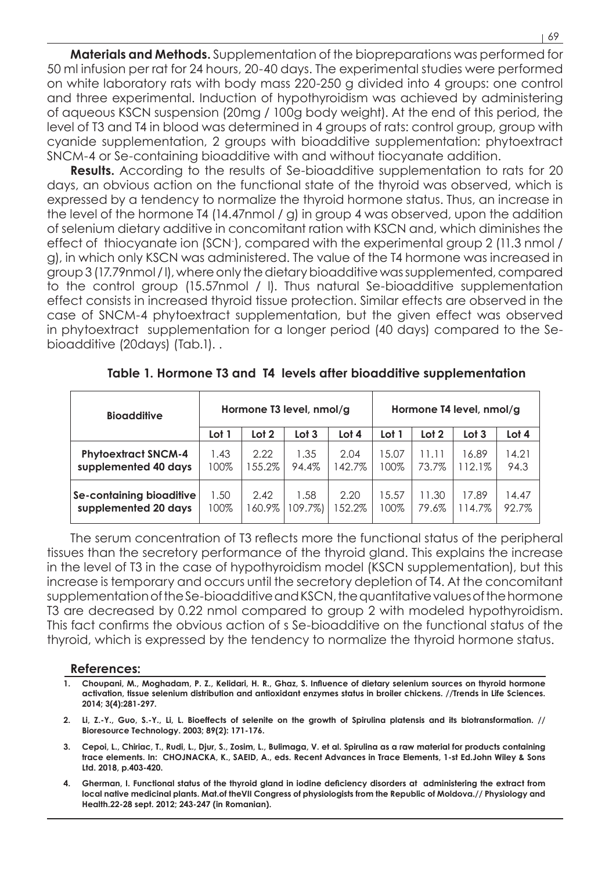**Materials and Methods.** Supplementation of the biopreparations was performed for 50 ml infusion per rat for 24 hours, 20-40 days. The experimental studies were performed on white laboratory rats with body mass 220-250 g divided into 4 groups: one control and three experimental. Induction of hypothyroidism was achieved by administering of aqueous KSCN suspension (20mg / 100g body weight). At the end of this period, the level of T3 and T4 in blood was determined in 4 groups of rats: control group, group with cyanide supplementation, 2 groups with bioadditive supplementation: phytoextract SNCM-4 or Se-containing bioadditive with and without tiocyanate addition.

**Results.** According to the results of Se-bioadditive supplementation to rats for 20 days, an obvious action on the functional state of the thyroid was observed, which is expressed by a tendency to normalize the thyroid hormone status. Thus, an increase in the level of the hormone T4 (14.47nmol / g) in group 4 was observed, upon the addition of selenium dietary additive in concomitant ration with KSCN and, which diminishes the effect of thiocyanate ion (SCN- ), compared with the experimental group 2 (11.3 nmol / g), in which only KSCN was administered. The value of the T4 hormone was increased in group 3 (17.79nmol / l), where only the dietary bioadditive was supplemented, compared to the control group (15.57nmol / l). Thus natural Se-bioadditive supplementation effect consists in increased thyroid tissue protection. Similar effects are observed in the case of SNCM-4 phytoextract supplementation, but the given effect was observed in phytoextract supplementation for a longer period (40 days) compared to the Sebioadditive (20days) (Tab.1). .

| <b>Bioadditive</b>         | Hormone T3 level, nmol/g |                  |                  |         | Hormone T4 level, nmol/g |       |                  |       |
|----------------------------|--------------------------|------------------|------------------|---------|--------------------------|-------|------------------|-------|
|                            | Lot 1                    | Lot <sub>2</sub> | Lot <sub>3</sub> | Lot $4$ | Lot 1                    | Lot 2 | Lot <sub>3</sub> | Lot 4 |
| <b>Phytoextract SNCM-4</b> | 1.43                     | 2.22             | 1.35             | 2.04    | 15.07                    | 11.11 | 16.89            | 14.21 |
| supplemented 40 days       | 100%                     | 155.2%           | 94.4%            | 142.7%  | 100%                     | 73.7% | 112.1%           | 94.3  |
| Se-containing bioaditive   | 1.50                     | 2.42             | 1.58             | 2.20    | 15.57                    | 11.30 | 17.89            | 14.47 |
| supplemented 20 days       | 100%                     | 160.9%           | 109.7%           | 152.2%  | 100%                     | 79.6% | 114.7%           | 92.7% |

**Table 1. Hormone T3 and T4 levels after bioadditive supplementation**

The serum concentration of T3 reflects more the functional status of the peripheral tissues than the secretory performance of the thyroid gland. This explains the increase in the level of T3 in the case of hypothyroidism model (KSCN supplementation), but this increase is temporary and occurs until the secretory depletion of T4. At the concomitant supplementation of the Se-bioadditive and KSCN, the quantitative values of the hormone T3 are decreased by 0.22 nmol compared to group 2 with modeled hypothyroidism. This fact confirms the obvious action of s Se-bioadditive on the functional status of the thyroid, which is expressed by the tendency to normalize the thyroid hormone status.

#### **References:**

- **1. Choupani, M., Moghadam, P. Z., Kelidari, H. R., Ghaz, S. Influence of dietary selenium sources on thyroid hormone activation, tissue selenium distribution and antioxidant enzymes status in broiler chickens. //Trends in Life Sciences. 2014; 3(4):281-297.**
- **2. Li, Z.-Y., Guo, S.-Y., Li, L. Bioeffects of selenite on the growth of Spirulina platensis and its biotransformation. // Bioresource Technology. 2003; 89(2): 171-176.**
- **3. Cepoi, L., Chiriac, T., Rudi, L., Djur, S., Zosim, L., Bulimaga, V. et al. Spirulina as a raw material for products containing trace elements. In: CHOJNACKA, K., SAEID, A., eds. Recent Advances in Trace Elements, 1-st Ed.John Wiley & Sons Ltd. 2018, p.403-420.**
- **4. Gherman, I. Functional status of the thyroid gland in iodine deficiency disorders at administering the extract from local native medicinal plants. Mat.of theVII Congress of physiologists from the Republic of Moldova.// Physiology and Health.22-28 sept. 2012; 243-247 (in Romanian).**